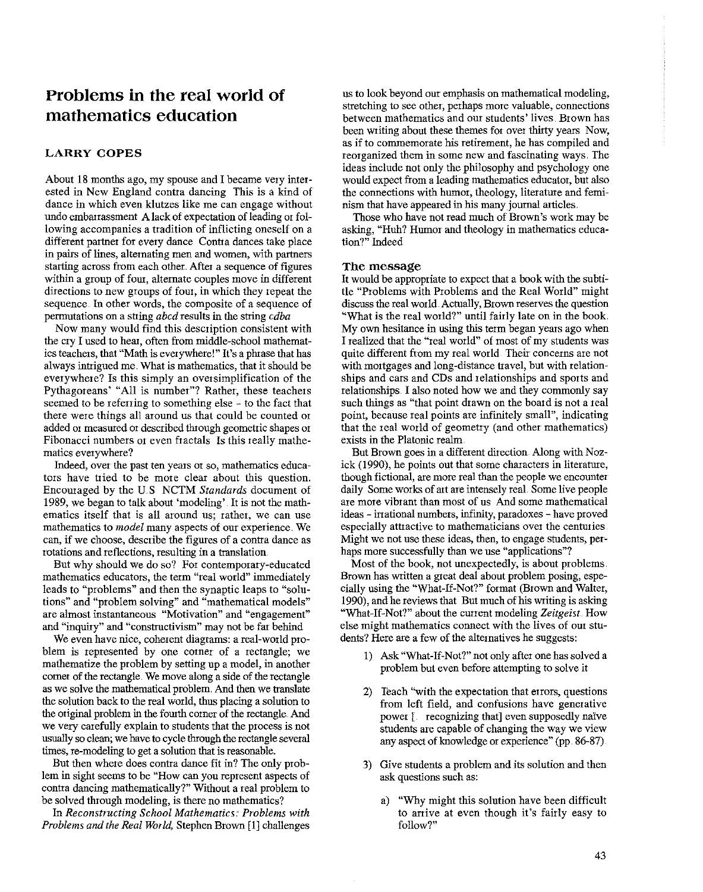# **Problems in the real world of mathematics education**

## **LARRY COPES**

About 18 months ago, my spouse and I became very interested in New England contra dancing This is a kind of dance in which even klutzes like me can engage without undo embarrassment A lack of expectation of leading or fol**lowing accompanies a tradition of inflicting oneself on a**  different partner for every dance Contra dances take place **in pairs of lines, alternating men and women, with partners**  starting across from each other. After a sequence of figures **within a group of fom, alternate couples move in different**  directions to new groups of four, in which they repeat the sequence. In other words, the composite of a sequence of permutations on a string *abed* results in the string *cdba* 

Now many would find this description consistent with the cry I used to hear, often from middle-school mathematics teachers, that "Math is everywhere!" It's a phrase that has always intrigued me. What is mathematics, that it should be everywhere? Is this simply an oversimplification of the Pythagoreans' "All is number"? Rather, these teachers seemed to be referring to something else - to the fact that there were things all around us that could be counted or added or measured or described through geometric shapes or Fibonacci numbers or even fractals Is this really mathe**matics everywhere?** 

**Indeed, over the past ten years or so, mathematics educa**tors have tried to be more clear about this question. Encouraged by the U.S NCTM *Standards* document of 1989, we began to talk about 'modeling' It is not the math**ematics itself that is all around us; rather, we can use mathematics to** *model* **many aspects of our experience. We**  can, if we choose, describe the figures of a contra dance as rotations and reflections, resulting in a translation

But why should we do so? For contemporary-educated mathematics educators, the term "real world" immediately leads to "problems" and then the synaptic leaps to "solu**tions" and "problem solving" and "mathematical models" are almost instantaneous "Motivation" and "engagement"**  and "inquiry" and "constructivism" may not be far behind

**We even have nice, coherent diagrams: a real-world pro**blem is represented by one corner of a rectangle; we mathematize the problem by setting up a model, in another corner of the rectangle. We move along a side of the rectangle as we solve the mathematical problem. And then we translate the solution back to the real world, thus placing a solution to the original problem in the fourth corner of the rectangle. And we very carefully explain to stndents that the process is not usually so clean; we have to cycle through the rectangle several times, re-modeling to get a solution that is reasonable.

But then where does contra dance fit in? The only problem in sight seems to be "How can you represent aspects of contra dancing mathematically?" Without a real problem to be solved through modeling, is there no mathematics?

In *Reconstructing School Mathematics. Problems with Problems and the Real World,* Stephen Brown [1] challenges us to look beyond our emphasis on mathematical modeling, stretching to see other, perhaps more valuable, connections between mathematics and our students' lives. Brown has been writing about these themes for over thirty years Now, **as if to commemorate his retirement, he has compiled and reorganized them in some new and fascinating ways. The**  ideas include not only the philosophy and psychology one wonld expect from a leading mathematics educator, but also the connections with humor, theology, literature and feminism that have appeared in his many journal articles.

Those who have not read much of Brown's work may be asking, "Huh? Humor and theology in mathematics education?" Indeed

### **The message**

It would be appropriate to expect that a book with the subtitle "Problems with Problems and the Real World" might discuss the real world. Actually, Brown reserves the question "What is the real world?" until fairly late on in the book. My own hesitance in using this term began years ago when I realized that the "real world" of most of my stndents was quite different from my real world Their concerns are not with mortgages and long-distance travel, but with relationships and cars and CDs and relationships and sports and relationships I also noted how we and they commonly say such things as "that point drawn on the board is not a real point, because real points are infinitely small", indicating that the real world of geometry (and other mathematics) exists in the Platonic realm

But Brown goes in a different direction Along with Nozick (1990), he points out that some characters in literature, though fictional, are more real than the people we encounter daily Some works of art are intensely real. Some live people **are more vibrant than most of us And some mathematical**  ideas - irrational numbers, infinity, paradoxes -have proved **especially attractive to mathematicians over the centuties**  Might we not use these ideas, then, to engage students, per**haps more successfully than we use '"applications"?** 

Most of the book, not unexpectedly, is about problems Brown has written a great deal about problem posing, especially using the "What-If-Not?" format (Brown and Walter, 1990), and he reviews that But much of his writing is asking "What-If-Not?" about the current modeling *Zeitgeist* How else might mathematics connect with the lives of our students? Here are a few of the alternatives he suggests:

- I) Ask "What-If-Not?" not only after one has solved a problem but even before attempting to solve it
- 2) Teach "with the expectation that errors, questions from left field, and confusions have generative power [ recognizing that] even supposedly naive students are capable of changing the way we view any aspect of knowledge or experience" (pp. 86-87)
- 3) Give students a problem and its solution and then ask questions such as:
	- a) "Why might this solution have been difficult to arrive at even though it's fairly easy to follow?"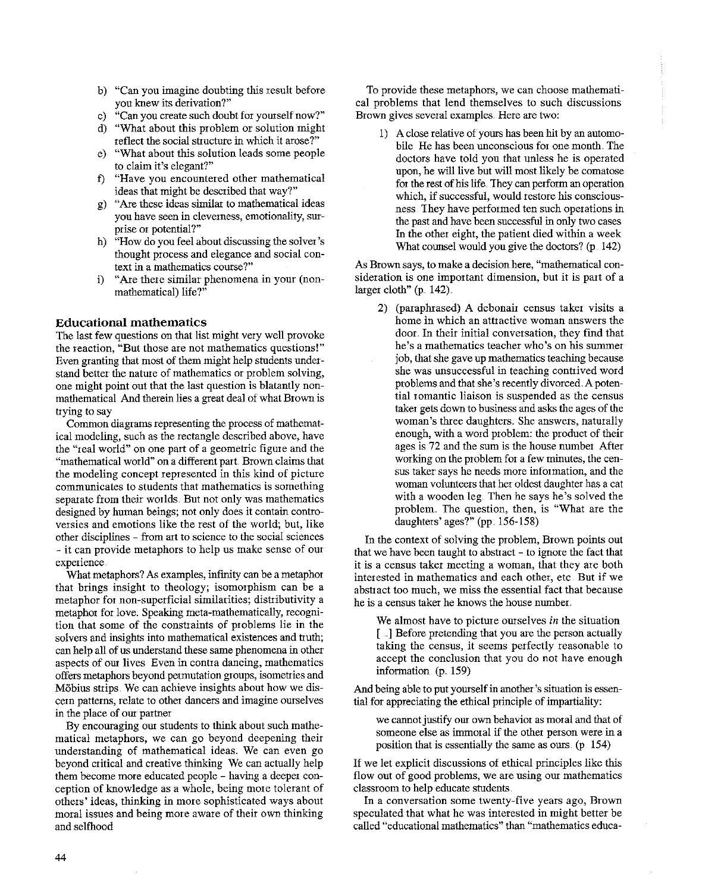- b) "Can you imagine doubting this result before **you knew its derivation?"**
- c) "Can you create such doubt for yourself now?"
- d) "What about this problem or solution might reflect the social structure in which it arose?"
- e) "What about this solution leads some people to claim it's elegant?"
- f) "Have you encountered other mathematical ideas that might be described that way?"
- g) "Are these ideas similar to mathematical ideas **you have seen in cleverness, emotionality, surprise or potential?"**
- h) "How do you feel about discussing the solver's thought process and elegance and social con**text in a mathematics course?"**
- i) "Are there similar phenomena in your (nonmathematical) life?"

# **Educational mathematics**

The last few questions on that list might very well provoke **the reaction, "But those are not mathematics questions!"**  Even granting that most of them might help students understand better the nature of mathematics or problem solving, one might point out that the last question is blatantly nonmathematical And therein lies a great deal of what Brown is trying to say

Common diagrams representing the process of mathemat**ical modeling, such as the rectangle described above, have the "real world" on one part of a geometric figute and the**  "mathematical world" on a different part Brown claims that the modeling concept represented in this kind of picture **communicates to students that mathematics is something**  separate from their worlds. But not only was mathematics designed by human beings; not only does it contain contro**versies and emotions like the rest of the world; but, like other disciplines - from art to science to the social sciences**  - it can provide metaphors to help us make sense of our **experience** 

What metaphors? *AB* examples, infinity can be a metaphor that brings insight to theology; isomorphism can be a **metaphor for non-supetficial similarities; distributivity a**  metaphor for love, Speaking meta-mathematically, recognition that some of the constraints of problems lie in the solvers and insights into mathematical existences and truth; can help all of us understand these same phenomena in other **aspects of OUI lives Even in contra dancing, mathematics**  offers metaphors beyond permutation groups, isometries and Möbius strips. We can achieve insights about how we dis**cern patterns, relate to other dancers and imagine ourselves**  in the place of om partner

By encouraging our students to think about such mathematical metaphors, we can go beyond deepening their understanding of mathematical ideas. We can even go beyond critical and creative thinking We can actually help them become more educated people - having a deeper conception of knowledge as a whole, being more tolerant of others' ideas, thinking in more sophisticated ways about **moral issues and being more aware of their own thinking**  and selfhood

**To provide these metaphors, we can choose mathemati**cal problems that lend themselves to such discussions **Brown gives several examples. Here are two:** 

1) A close relative of yours has been hit by an automobile He has been unconscious for one month. The doctors have told you that unless he is operated upon, he will live but will most likely be comatose for the rest of his life. They can perform an operation **which, if successful, would restore his conscious**ness. They have performed ten such operations in the past and have been successful in only two cases In the other eight, the patient died within a week What counsel would you give the doctors? (p. 142)

**As Brown says, to make a decision here, "mathematical consideration is one important dimension, but it is part of a**  larger cloth"  $(p. 142)$ .

2) (paraphrased) A debonair census taker visits a **home in which an attractive woman answers the**  door. In their initial conversation, they find that **he's a mathematics teacher who's on his summer**  job, that she gave up mathematics teaching because **she was unsuccessful in teaching contrived word**  problems and that she's recently divorced. A poten**tial roman tic liaison is suspended as the census**  taker gets down to business and asks the ages of the woman's three daughters. She answers, naturally enough, with a word problem: the product of their ages is 72 and the sum is the house number After working on the problem for a few minutes, the cen**sus taker says he needs more information, and the**  woman volunteers that her oldest daughter has a cat with a wooden leg. Then he says he's solved the problem The question, then, is "What are the daughters' ages?" (pp. 156-158)

In the context of solving the problem, Brown points out that we have been taught to abstract - to ignore the fact that **it is a census taker meeting a woman, that they are both interested in mathematics and each other, etc But if we abstract too much, we miss the essential fact that because**  he is a census taker he knows the house number.

**We almost have to picture omselves** *in* **the situation**  [ .] Before pretending that you are the person actually taking the census, it seems perfectly reasonable to accept the conclusion that you do not have enough information  $(p. 159)$ 

And being able to put yourself in another's situation is essential for appreciating the ethical principle of impartiality:

we carmot justify our own behavior as moral and that of **someone else as immoral if the other person were in a**  position that is essentially the same as ours. (p 154)

If we let explicit discussions of ethical principles like this flow out of good problems, we are using our mathematics classroom to help educate students.

**In a conversation some twenty-five years ago, Brown**  speculated that what he was interested in might better be **called "educational mathematics" than "mathematics educa-**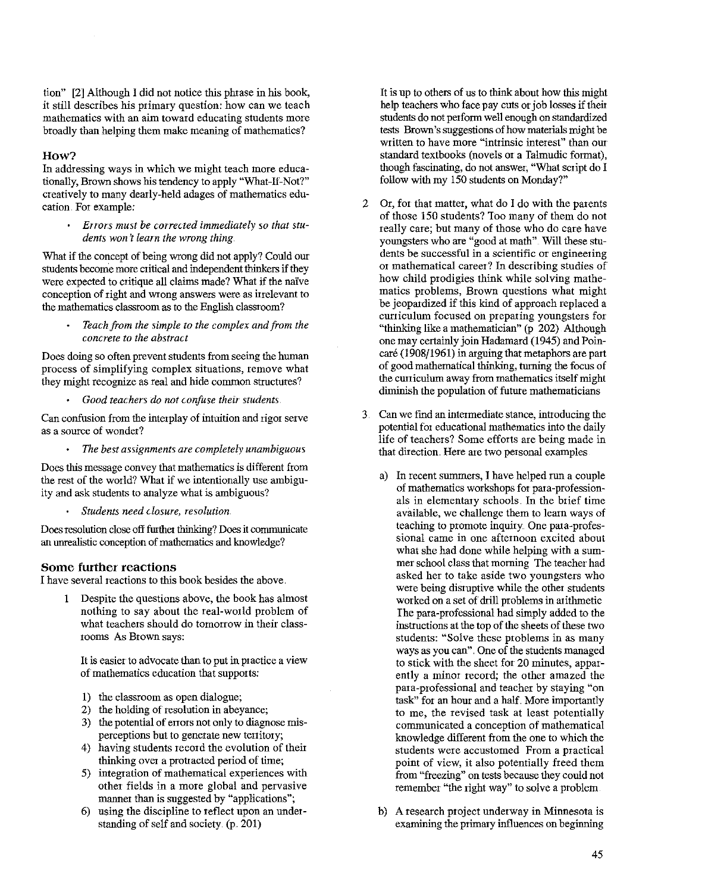tion" [2] Although I did not notice this phrase in his book, it still describes his primary question: how can we teach **mathematics with an aim toward educating students more**  broadly than helping them make meaning of mathematics?

## **How?**

In addressing ways in which we might teach more educationally, Brown shows his tendency to apply "What-If-Not?" creatively to many dearly-held adages of mathematics education. For example:

*Error:s must be corrected immediately so that students won 't learn the wrong thing* 

What if the concept of being wrong did not apply? Could our students become more ctitical and independent thinkers if they were expected to critique all claims made? What if the naive **conception of right and wrong answers were as irrelevant to**  the mathematics classroom as to the English classroom?

> *Teach from the simple to the complex and from the concrete to the abstract*

Does doing so often prevent students from seeing the human **process of simplifying complex situations, remove what**  they might recognize as real and hide common structures?

*Good teachers do not confuse their students* 

Can confusion from the interplay of intuition and rigor serve **as a source of wonder?** 

*The best assignments are completely unambiguous* 

**Does this message convey that mathematics is different from**  the rest of the world? What if we intentionally use ambiguity and ask students to analyze what is ambiguous?

*Students need closure, resolution.* 

Does resolution close off furthet thinking? Does it corumunicate an unrealistic conception of mathematics and knowledge?

# **Some further reactions**

I have several reactions to this book besides the above.

I Despite the questions above, the book has almost nothing to say about the real-world problem of what teachers should do tomorrow in their class**rooms As Brown says:** 

**It is easier to advocate than to put in practice a view**  of mathematics education that supports:

- 1) the classroom as open dialogue;
- 2) the holding of resolution in abeyance;
- 3) the potential of errors not only to diagnose mis**perceptions but to generate new tettitoty;**
- 4) having students record the evolution of their thinking over a protracted period of time;
- 5) integration of mathematical experiences with other fields in a more global and pervasive manner than is suggested by "applications";
- 6) using the discipline to reflect upon an understanding of self and society. (p. 201)

It is up to others of us to think about how this might help teachers who face pay cuts or job losses if theit students do not perform well enough on standardized tests Brown's suggestions of how materials might be **written to have more "inttinsic interest" than our**  standard textbooks (novels or a Talmudic format), though fascinating, do not answer, "What script do I follow with my 150 students on Monday?"

- 2 Or, for that matter, what do I do with the parents of those 150 students? Too many of them do not really care; but many of those who do care have youngsters who are "good at math". Will these stu**dents be successful in a scientific or engineering**  or mathematical career? In describing studies of how child prodigies think while solving mathematics problems, Brown questions what might be jeopardized if this kind of approach replaced a cuniculum focused on preparing youngsters for "thinking like a mathematician" (p 202) Although one may certainly join Hadamard (1945) and Poincare (1908/1961) in arguing that metaphors are part of good mathematical thinking, turning the focus of the curriculum away from mathematics itself might diminish the population of future mathematicians
- 3 Can we find an intermediate stance, introducing the potential for educational mathematics into the daily life of teachers? Some efforts are being made in **that direction. Here are two personal examples** 
	- a) In recent summers, I have helped run a couple of mathematics workshops for para-professionals in elementary schools. In the brief time available, we challenge them to learn ways of teaching to promote inquiry. One para-profes**sional came in one afternoon excited about**  what she had done while helping with a summer school class that morning The teacher had asked her to take aside two youngsters who were being disruptive while the other students worked on a set of drill problems in arithmetic Ihe para-professional had simply added to the instructions at the top of the sheets of these two students: "Solve these problems in as many ways as you can". One of the students managed to stick with the sheet for 20 minutes, appar**ently a minor record; the other amazed the**  para-professional and teacher by staying "on task" for an hour and a half. More importantly to me, the revised task at least potentially **communicated a conception of mathematical**  knowledge different from the one to which the **students were accustomed From a practical**  point of view, it also potentially freed them from "freezing" on tests because they could not **remember "the right way" to solve a problem**
	- b) A research project underway in Minnesota is examining the primary influences on beginning